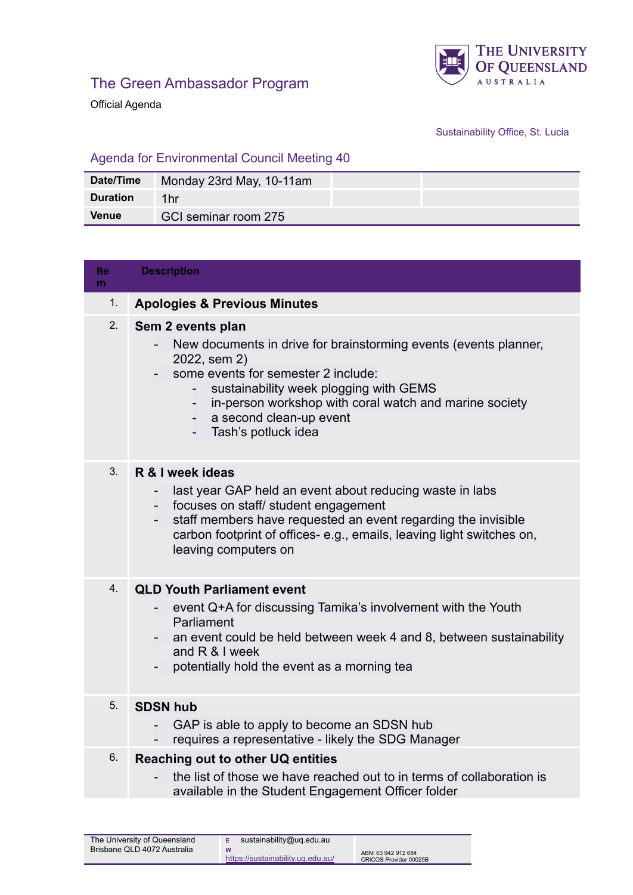



Official Agenda

## Sustainability Office, St. Lucia

## Agenda for Environmental Council Meeting 40

| Date/Time       | Monday 23rd May, 10-11am |
|-----------------|--------------------------|
| <b>Duration</b> | 1hr                      |
| <b>Venue</b>    | GCI seminar room 275     |

| Ite<br>m | <b>Description</b>                                                                                                                                                                                                                                                                                   |
|----------|------------------------------------------------------------------------------------------------------------------------------------------------------------------------------------------------------------------------------------------------------------------------------------------------------|
| 1.       | <b>Apologies &amp; Previous Minutes</b>                                                                                                                                                                                                                                                              |
| 2.       | Sem 2 events plan<br>New documents in drive for brainstorming events (events planner,<br>2022, sem 2)<br>some events for semester 2 include:<br>sustainability week plogging with GEMS<br>in-person workshop with coral watch and marine society<br>a second clean-up event<br>- Tash's potluck idea |
| 3.       | R & I week ideas<br>last year GAP held an event about reducing waste in labs<br>focuses on staff/ student engagement<br>staff members have requested an event regarding the invisible<br>carbon footprint of offices-e.g., emails, leaving light switches on,<br>leaving computers on                |
| 4.       | <b>QLD Youth Parliament event</b><br>event Q+A for discussing Tamika's involvement with the Youth<br>Parliament<br>an event could be held between week 4 and 8, between sustainability<br>and R & I week<br>potentially hold the event as a morning tea                                              |
| 5.       | <b>SDSN hub</b><br>GAP is able to apply to become an SDSN hub<br>$\overline{\phantom{a}}$<br>requires a representative - likely the SDG Manager                                                                                                                                                      |
| 6.       | Reaching out to other UQ entities<br>the list of those we have reached out to in terms of collaboration is<br>available in the Student Engagement Officer folder                                                                                                                                     |